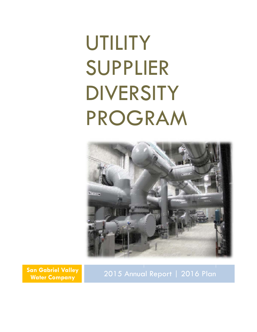# UTILITY **SUPPLIER DIVERSITY** PROGRAM



**San Gabriel Valley Water Company** 

2015 Annual Report | 2016 Plan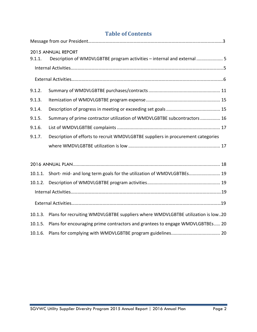#### **Table of Contents**

|         | 2015 ANNUAL REPORT                                                               |
|---------|----------------------------------------------------------------------------------|
| 9.1.1.  | Description of WMDVLGBTBE program activities - internal and external  5          |
|         |                                                                                  |
|         |                                                                                  |
| 9.1.2.  |                                                                                  |
| 9.1.3.  |                                                                                  |
| 9.1.4.  |                                                                                  |
| 9.1.5.  | Summary of prime contractor utilization of WMDVLGBTBE subcontractors 16          |
| 9.1.6.  |                                                                                  |
| 9.1.7.  | Description of efforts to recruit WMDVLGBTBE suppliers in procurement categories |
|         |                                                                                  |
|         |                                                                                  |
|         |                                                                                  |
|         | 10.1.1. Short- mid- and long term goals for the utilization of WMDVLGBTBEs 19    |
|         |                                                                                  |
|         |                                                                                  |
|         |                                                                                  |
| 10.1.3. | Plans for recruiting WMDVLGBTBE suppliers where WMDVLGBTBE utilization is low20  |
| 10.1.5. | Plans for encouraging prime contractors and grantees to engage WMDVLGBTBEs 20    |
| 10.1.6. |                                                                                  |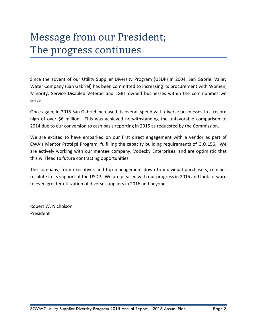## Message from our President; The progress continues

Since the advent of our Utility Supplier Diversity Program (USDP) in 2004, San Gabriel Valley Water Company (San Gabriel) has been committed to increasing its procurement with Women, Minority, Service Disabled Veteran and LGBT owned businesses within the communities we serve.

Once again, in 2015 San Gabriel increased its overall spend with diverse businesses to a record high of over \$6 million. This was achieved notwithstanding the unfavorable comparison to 2014 due to our conversion to cash basis reporting in 2015 as requested by the Commission.

We are excited to have embarked on our first direct engagement with a vendor as part of CWA's Mentor Protégé Program, fulfilling the capacity building requirements of G.O.156. We are actively working with our mentee company, Vobecky Enterprises, and are optimistic that this will lead to future contracting opportunities.

The company, from executives and top management down to individual purchasers, remains resolute in its support of the USDP. We are pleased with our progress in 2015 and look forward to even greater utilization of diverse suppliers in 2016 and beyond.

Robert W. Nicholson President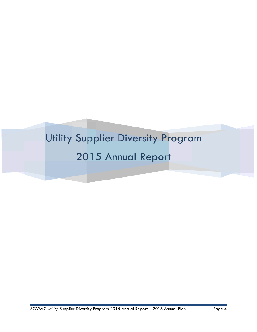# **Utility Supplier Diversity Program**

### 2015 Annual Report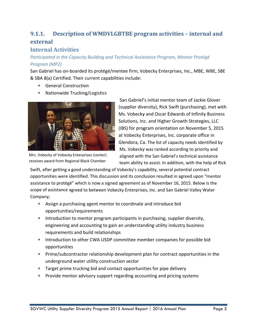#### $9.1.1.$ Description of WMDVLGBTBE program activities - internal and external

#### **Internal Activities**

#### Participated in the Capacity Building and Technical Assistance Program, Mentor Protégé Program (MP2)

San Gabriel has on-boarded its protégé/mentee firm, Vobecky Enterprises, Inc., MBE, WBE, SBE & SBA 8(a) Certified. Their current capabilities include:

- \* General Construction
- \* Nationwide Trucking/Logistics



Mrs. Vobecky of Vobecky Enterprises (center) receives award from Regional Black Chamber

San Gabriel's initial mentor team of Jackie Glover (supplier diversity), Rick Swift (purchasing), met with Ms. Vobecky and Oscar Edwards of Infinity Business Solutions, Inc. and Higher Growth Strategies, LLC (IBS) for program orientation on November 5, 2015 at Vobecky Enterprises, Inc. corporate office in Glendora, Ca. The list of capacity needs identified by Ms. Vobecky was ranked according to priority and aligned with the San Gabriel's technical assistance team ability to assist. In addition, with the help of Rick

Swift, after getting a good understanding of Vobecky's capability, several potential contract opportunities were identified. This discussion and its conclusion resulted in agreed upon "mentor" assistance to protégé" which is now a signed agreement as of November 16, 2015. Below is the scope of assistance agreed to between Vobecky Enterprises, Inc. and San Gabriel Valley Water Company;

- \* Assign a purchasing agent mentor to coordinate and introduce bid opportunities/requirements
- \* Introduction to mentor program participants in purchasing, supplier diversity, engineering and accounting to gain an understanding utility industry business requirements and build relationships
- \* Introduction to other CWA USDP committee member companies for possible bid opportunities
- \* Prime/subcontractor relationship development plan for contract opportunities in the underground water utility construction sector
- \* Target prime trucking bid and contact opportunities for pipe delivery
- \* Provide mentor advisory support regarding accounting and pricing systems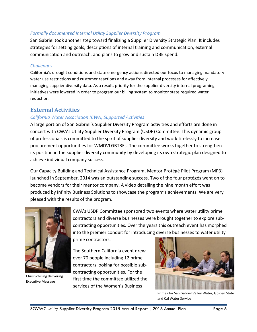#### **Formally documented Internal Utility Supplier Diversity Program**

San Gabriel took another step toward finalizing a Supplier Diversity Strategic Plan. It includes strategies for setting goals, descriptions of internal training and communication, external communication and outreach, and plans to grow and sustain DBE spend.

#### **Challenges**

California's drought conditions and state emergency actions directed our focus to managing mandatory water use restrictions and customer reactions and away from internal processes for affectively managing supplier diversity data. As a result, priority for the supplier diversity internal programing initiatives were lowered in order to program our billing system to monitor state required water reduction.

#### **External Activities**

#### **California Water Association (CWA) Supported Activities**

A large portion of San Gabriel's Supplier Diversity Program activities and efforts are done in concert with CWA's Utility Supplier Diversity Program (USDP) Committee. This dynamic group of professionals is committed to the spirit of supplier diversity and work tirelessly to increase procurement opportunities for WMDVLGBTBEs. The committee works together to strengthen its position in the supplier diversity community by developing its own strategic plan designed to achieve individual company success.

Our Capacity Building and Technical Assistance Program, Mentor Protégé Pilot Program (MP3) launched in September, 2014 was an outstanding success. Two of the four protégés went on to become vendors for their mentor company. A video detailing the nine month effort was produced by Infinity Business Solutions to showcase the program's achievements. We are very pleased with the results of the program.



Chris Schilling delivering **Executive Message** 

CWA's USDP Committee sponsored two events where water utility prime contractors and diverse businesses were brought together to explore subcontracting opportunities. Over the years this outreach event has morphed into the premier conduit for introducing diverse businesses to water utility prime contractors.

The Southern California event drew over 70 people including 12 prime contractors looking for possible subcontracting opportunities. For the first time the committee utilized the services of the Women's Business



Primes for San Gabriel Valley Water, Golden State and Cal Water Service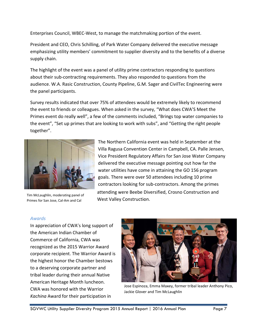Enterprises Council, WBEC-West, to manage the matchmaking portion of the event.

President and CEO, Chris Schilling, of Park Water Company delivered the executive message emphasizing utility members' commitment to supplier diversity and to the benefits of a diverse supply chain.

The highlight of the event was a panel of utility prime contractors responding to questions about their sub-contracting requirements. They also responded to questions from the audience. W.A. Rasic Construction, County Pipeline, G.M. Sager and CivilTec Engineering were the panel participants.

Survey results indicated that over 75% of attendees would be extremely likely to recommend the event to friends or colleagues. When asked in the survey, "What does CWA'S Meet the Primes event do really well", a few of the comments included, "Brings top water companies to the event", "Set up primes that are looking to work with subs", and "Getting the right people together".



Tim McLaughlin, moderating panel of Primes for San Jose, Cal-Am and Cal

The Northern California event was held in September at the Villa Ragusa Convention Center in Campbell, CA. Palle Jensen, Vice President Regulatory Affairs for San Jose Water Company delivered the executive message pointing out how far the water utilities have come in attaining the GO 156 program goals. There were over 50 attendees including 10 prime contractors looking for sub-contractors. Among the primes attending were Beebe Diversified, Crosno Construction and West Valley Construction.

#### **Awards**

In appreciation of CWA's long support of the American Indian Chamber of Commerce of California, CWA was recognized as the 2015 Warrior Award corporate recipient. The Warrior Award is the highest honor the Chamber bestows to a deserving corporate partner and tribal leader during their annual Native American Heritage Month luncheon. CWA was honored with the Warrior Kachina Award for their participation in



Jose Espinoza, Emma Maxey, former tribal leader Anthony Pico, Jackie Glover and Tim McLaughlin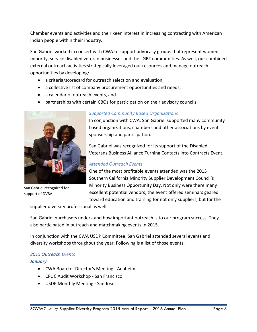Chamber events and activities and their keen interest in increasing contracting with American Indian people within their industry.

San Gabriel worked in concert with CWA to support advocacy groups that represent women, minority, service disabled veteran businesses and the LGBT communities. As well, our combined external outreach activities strategically leveraged our resources and manage outreach opportunities by developing:

- a criteria/scorecard for outreach selection and evaluation,
- a collective list of company procurement opportunities and needs,
- a calendar of outreach events, and
- partnerships with certain CBOs for participation on their advisory councils.



San Gabriel recognized for support of DVBA

#### **Supported Community Based Organizations**

In conjunction with CWA, San Gabriel supported many community based organizations, chambers and other associations by event sponsorship and participation.

San Gabriel was recognized for its support of the Disabled Veterans Business Alliance Turning Contacts into Contracts Event.

#### **Attended Outreach Events**

One of the most profitable events attended was the 2015 Southern California Minority Supplier Development Council's Minority Business Opportunity Day. Not only were there many excellent potential vendors, the event offered seminars geared toward education and training for not only suppliers, but for the

supplier diversity professional as well.

San Gabriel purchasers understand how important outreach is to our program success. They also participated in outreach and matchmaking events in 2015.

In conjunction with the CWA USDP Committee, San Gabriel attended several events and diversity workshops throughout the year. Following is a list of those events:

#### **2015 Outreach Events**

#### **January**

- CWA Board of Director's Meeting Anaheim
- CPUC Audit Workshop San Francisco
- USDP Monthly Meeting San Jose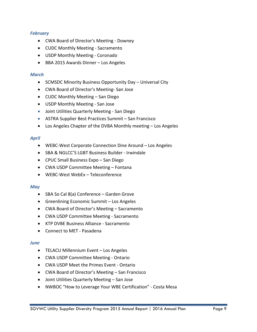#### *February*

- CWA Board of Director's Meeting Downey
- CUDC Monthly Meeting Sacramento
- USDP Monthly Meeting ‐ Coronado
- BBA 2015 Awards Dinner Los Angeles

#### *March*

- SCMSDC Minority Business Opportunity Day Universal City
- CWA Board of Director's Meeting-San Jose
- CUDC Monthly Meeting San Diego
- USDP Monthly Meeting San Jose
- Joint Utilities Quarterly Meeting San Diego
- ASTRA Supplier Best Practices Summit San Francisco
- Los Angeles Chapter of the DVBA Monthly meeting Los Angeles

#### *April*

- WEBC-West Corporate Connection Dine Around Los Angeles
- SBA & NGLCC'S LGBT Business Builder Irwindale
- CPUC Small Business Expo San Diego
- CWA USDP Committee Meeting Fontana
- WEBC-West WebEx Teleconference

#### *May*

- SBA So Cal 8(a) Conference Garden Grove
- Greenlining Economic Summit Los Angeles
- CWA Board of Director's Meeting Sacramento
- CWA USDP Committee Meeting Sacramento
- KTP DVBE Business Alliance Sacramento
- Connect to MET Pasadena

#### *June*

- TELACU Millennium Event Los Angeles
- CWA USDP Committee Meeting Ontario
- CWA USDP Meet the Primes Event Ontario
- CWA Board of Director's Meeting San Francisco
- Joint Utilities Quarterly Meeting San Jose
- NWBOC "How to Leverage Your WBE Certification" Costa Mesa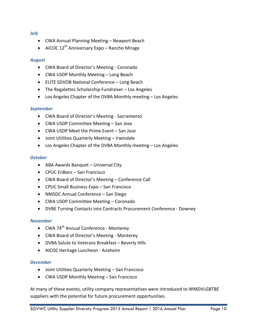#### *July*

- CWA Annual Planning Meeting Newport Beach
- AICOC  $12^{th}$  Anniversary Expo Rancho Mirage

#### *August*

- CWA Board of Director's Meeting Coronado
- CWA USDP Monthly Meeting Long Beach
- ELITE SDVOB National Conference Long Beach
- The Regalettes Scholarship Fundraiser Los Angeles
- Los Angeles Chapter of the DVBA Monthly meeting Los Angeles

#### *September*

- CWA Board of Director's Meeting Sacramento
- CWA USDP Committee Meeting San Jose
- CWA USDP Meet the Prime Event San Jose
- Joint Utilities Quarterly Meeting Irwindale
- Los Angeles Chapter of the DVBA Monthly meeting Los Angeles

#### *October*

- ABA Awards Banquet Universal City
- CPUC EnBanc San Francisco
- CWA Board of Director's Meeting Conference Call
- CPUC Small Business Expo San Francisco
- NMSDC Annual Conference San Diego
- CWA USDP Committee Meeting Coronado
- DVBE Turning Contacts into Contracts Procurement Conference Downey

#### *November*

- CWA 74<sup>th</sup> Annual Conference Monterey
- CWA Board of Director's Meeting Monterey
- DVBA Salute to Veterans Breakfast Beverly Hills
- AICOC Heritage Luncheon Anaheim

#### *December*

- Joint Utilities Quarterly Meeting San Francisco
- CWA USDP Monthly Meeting San Francisco

At many of these events, utility company representatives were introduced to WMDVLGBTBE suppliers with the potential for future procurement opportunities.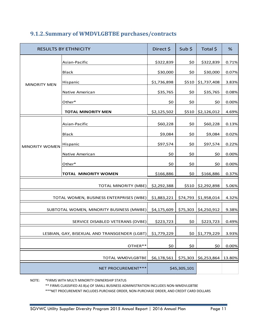|                       | <b>RESULTS BY ETHNICITY</b>                   | Direct \$   | Sub <sub>5</sub> | Total \$               | %      |
|-----------------------|-----------------------------------------------|-------------|------------------|------------------------|--------|
|                       | Asian-Pacific                                 | \$322,839   | \$0              | \$322,839              | 0.71%  |
|                       | <b>Black</b>                                  | \$30,000    | \$0              | \$30,000               | 0.07%  |
| <b>MINORITY MEN</b>   | Hispanic                                      | \$1,736,898 | \$510            | \$1,737,408            | 3.83%  |
|                       | Native American                               | \$35,765    | \$0              | \$35,765               | 0.08%  |
|                       | Other*                                        | \$0         | \$0              | \$0                    | 0.00%  |
|                       | <b>TOTAL MINORITY MEN</b>                     | \$2,125,502 | \$510            | \$2,126,012            | 4.69%  |
|                       | Asian-Pacific                                 | \$60,228    | \$0              | \$60,228               | 0.13%  |
|                       | <b>Black</b>                                  | \$9,084     | \$0              | \$9,084                | 0.02%  |
| <b>MINORITY WOMEN</b> | Hispanic                                      | \$97,574    | \$0              | \$97,574               | 0.22%  |
|                       | Native American                               | \$0         | \$0              | \$0                    | 0.00%  |
|                       | Other*                                        | \$0         | \$0              | \$0                    | 0.00%  |
|                       | <b>TOTAL MINORITY WOMEN</b>                   | \$166,886   | \$0              | \$166,886              | 0.37%  |
|                       | <b>TOTAL MINORITY (MBE)</b>                   | \$2,292,388 | \$510            | \$2,292,898            | 5.06%  |
|                       | TOTAL WOMEN, BUSINESS ENTERPRISES (WBE)       | \$1,883,221 |                  | $$74,793$ $$1,958,014$ | 4.32%  |
|                       | SUBTOTAL WOMEN, MINORITY BUSINESS (MWBE)      | \$4,175,609 |                  | $$75,303$ $$4,250,912$ | 9.38%  |
|                       | SERVICE DISABLED VETERANS (DVBE)              | \$223,723   | \$0              | \$223,723              | 0.49%  |
|                       | LESBIAN, GAY, BISEXUAL AND TRANSGENDER (LGBT) | \$1,779,229 |                  | \$0 \$1,779,229        | 3.93%  |
|                       | OTHER**                                       | \$0         | \$0              | \$0                    | 0.00%  |
|                       |                                               |             |                  |                        |        |
|                       | TOTAL WMDVLGBTBE                              | \$6,178,561 | \$75,303         | \$6,253,864            | 13.80% |
|                       | NET PROCUREMENT***                            |             | \$45,305,101     |                        |        |

#### **9.1.2.Summary of WMDVLGBTBE purchases/contracts**

NOTE: \*FIRMS WITH MULTI MINORITY OWNERSHIP STATUS

\*\* FIRMS CLASSIFIED AS 8(a) OF SMALL BUSINESS ADMINISTRATION INCLUDES NON‐WMDVLGBTBE

\*\*\*NET PROCUREMENT INCLUDES PURCHASE ORDER, NON‐PURCHASE ORDER, AND CREDIT CARD DOLLARS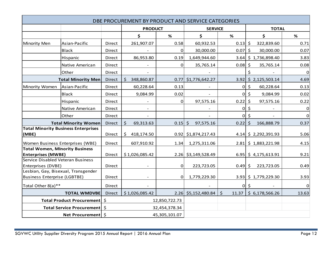|                                                                            |                                            | DBE PROCUREMENT BY PRODUCT AND SERVICE CATEGORIES |                      |                |                       |                             |                                  |                  |  |
|----------------------------------------------------------------------------|--------------------------------------------|---------------------------------------------------|----------------------|----------------|-----------------------|-----------------------------|----------------------------------|------------------|--|
|                                                                            |                                            |                                                   | <b>PRODUCT</b>       |                | <b>SERVICE</b>        |                             | <b>TOTAL</b>                     |                  |  |
|                                                                            |                                            |                                                   | $\boldsymbol{\zeta}$ | %              | \$                    | %                           | \$                               | %                |  |
| <b>Minority Men</b>                                                        | Asian-Pacific                              | Direct                                            | 261,907.07           | 0.58           | 60,932.53             | 0.13                        | \$<br>322,839.60                 | 0.71             |  |
|                                                                            | <b>Black</b>                               | Direct                                            |                      | 0              | 30,000.00             | 0.07                        | $\zeta$<br>30,000.00             | 0.07             |  |
|                                                                            | Hispanic                                   | Direct                                            | 86,953.80            | 0.19           | 1,649,944.60          | 3.64                        | \$1,736,898.40                   | 3.83             |  |
|                                                                            | Native American                            | Direct                                            |                      | 0              | 35,765.14             | 0.08                        | $\zeta$<br>35,765.14             | 0.08             |  |
|                                                                            | Other                                      | Direct                                            |                      |                |                       |                             | \$                               | $\boldsymbol{0}$ |  |
|                                                                            | <b>Total Minority Men</b>                  | Direct                                            | \$<br>348,860.87     | 0.77           | \$1,776,642.27        |                             | $3.92 \mid \xi$ 2,125,503.14     | 4.69             |  |
| Minority Women                                                             | Asian-Pacific                              | Direct                                            | 60,228.64            | 0.13           |                       | $\overline{O}$              | \$<br>60,228.64                  | 0.13             |  |
|                                                                            | <b>Black</b>                               | Direct                                            | 9,084.99             | 0.02           |                       | 0                           | \$<br>9,084.99                   | 0.02             |  |
|                                                                            | Hispanic                                   | Direct                                            |                      | 0              | 97,575.16             | 0.22                        | $\zeta$<br>97,575.16             | 0.22             |  |
|                                                                            | Native American                            | Direct                                            |                      |                |                       | $\overline{0}$              | \$                               | $\pmb{0}$        |  |
|                                                                            | Other                                      | Direct                                            |                      |                |                       | $\Omega$                    | \$                               | $\mathbf 0$      |  |
|                                                                            | <b>Total Minority Women</b>                | Direct                                            | $\zeta$<br>69,313.63 | 0.15           | $\zeta$<br>97,575.16  | 0.22                        | $\zeta$<br>166,888.79            | 0.37             |  |
| (MBE)                                                                      | <b>Total Minority Business Enterprises</b> | Direct                                            | \$<br>418,174.50     |                | 0.92 \$1,874,217.43   |                             | 4.14 $\binom{2}{3}$ 2,292,391.93 | 5.06             |  |
|                                                                            | Women Business Enterprises (WBE)           | Direct                                            | 607,910.92           | 1.34           | 1,275,311.06          |                             | $2.81 \div 1,883,221.98$         | 4.15             |  |
| <b>Total Women, MInority Business</b><br><b>Enterprises (MWBE)</b>         |                                            | Direct                                            | \$1,026,085.42       |                | 2.26 \$3,149,528.49   | 6.95                        | \$4,175,613.91                   | 9.21             |  |
| Service Disabled Veteran Business<br>Enterprises (DVBE)                    |                                            | Direct                                            |                      | 0              | 223,723.05            | $0.49$ \$                   | 223,723.05                       | 0.49             |  |
| Lesbian, Gay, Bisexual, Transgender<br><b>Business Enterprise (LGBTBE)</b> |                                            | Direct                                            | $\sim$               | $\overline{0}$ | 1,779,229.30          |                             | 3.93 \$1,779,229.30              | 3.93             |  |
| Total Other 8(a)**                                                         |                                            | Direct                                            |                      |                |                       | 01                          | \$                               | $\Omega$         |  |
|                                                                            | <b>TOTAL WMDVBE</b>                        | <b>Direct</b>                                     | \$1,026,085.42       |                | $2.26$ \$5,152,480.84 | $\mathsf{\dot{S}}$<br>11.37 | \$6,178,566.26                   | 13.63            |  |
|                                                                            | Total Product Procurement   \$             |                                                   |                      | 12,850,722.73  |                       |                             |                                  |                  |  |
|                                                                            | Total Service Procurement   \$             |                                                   |                      | 32,454,378.34  |                       |                             |                                  |                  |  |
|                                                                            | Net Procurement   \$                       |                                                   |                      | 45,305,101.07  |                       |                             |                                  |                  |  |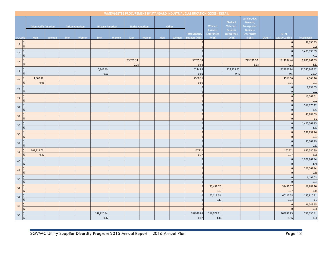|          | WMDVLGBTBE PROCUREMENT BY STANDARD INDUSTRIAL CLASSIFICATION CODES - DETAIL |                               |       |            |                         |                          |       |            |                 |     |       |                       |                          |                                    |                                |        |                            |                   |
|----------|-----------------------------------------------------------------------------|-------------------------------|-------|------------|-------------------------|--------------------------|-------|------------|-----------------|-----|-------|-----------------------|--------------------------|------------------------------------|--------------------------------|--------|----------------------------|-------------------|
|          |                                                                             |                               |       |            |                         |                          |       |            |                 |     |       |                       |                          |                                    | Lesbian, Gay,                  |        |                            |                   |
|          |                                                                             |                               |       |            |                         |                          |       |            |                 |     |       |                       |                          | <b>Disabled</b>                    | Bisexual,                      |        |                            |                   |
|          |                                                                             | <b>Asian-Pacific American</b> |       |            | <b>African American</b> | <b>Hispanic American</b> |       |            | Native American |     | Other |                       | Women<br><b>Business</b> | <b>Veterans</b><br><b>Business</b> | Transgender<br><b>Business</b> |        |                            |                   |
|          |                                                                             |                               |       |            |                         |                          |       |            |                 |     |       | <b>Total Minority</b> | <b>Enterprises</b>       | <b>Enterprises</b>                 | <b>Enterprises</b>             |        | <b>TOTAL</b>               |                   |
| SIC Code |                                                                             | <b>Men</b>                    | Women | <b>Men</b> | Women                   | Men                      | Women | <b>Men</b> | Women           | Men | Women | <b>Business (MBE)</b> | (WBE)                    | (DVBE)                             | (LGBT)                         | Other* | <b>WMDVLGBTBE</b>          | Total Spend       |
|          |                                                                             |                               |       |            |                         |                          |       |            |                 |     |       | $\Omega$              |                          |                                    |                                |        | $\mathbf{0}$               | 38,390.33         |
| 14       |                                                                             |                               |       |            |                         |                          |       |            |                 |     |       | $\overline{0}$        |                          |                                    |                                |        | $\mathbf 0$                | 0.08              |
|          |                                                                             |                               |       |            |                         |                          |       |            |                 |     |       | $\Omega$              |                          |                                    |                                |        | $\mathbf{0}$               | 3,405,993.89      |
| 15       |                                                                             |                               |       |            |                         |                          |       |            |                 |     |       | $\Omega$              |                          |                                    |                                |        | $\mathbf{0}$               | 7.52              |
| 16       |                                                                             |                               |       |            |                         |                          |       | 35,765.14  |                 |     |       | 35765.14              |                          |                                    | 1,779,229.30                   |        | 1814994.44                 | 2,085,261.59      |
|          |                                                                             |                               |       |            |                         |                          |       | 0.08       |                 |     |       | 0.08                  |                          |                                    | 3.93                           |        | 4.01                       | 4.61              |
| 17       |                                                                             |                               |       |            |                         | 5,244.89                 |       |            |                 |     |       | 5244.89               |                          | 223,723.05                         |                                |        | 228967.94                  | 11,345,941.42     |
|          |                                                                             |                               |       |            |                         | 0.01                     |       |            |                 |     |       | 0.01                  |                          | 0.49                               |                                |        | 0.5                        | 25.04             |
| 25       |                                                                             | 4,568.16                      |       |            |                         |                          |       |            |                 |     |       | 4568.16               |                          |                                    |                                |        | 4568.16                    | 4,568.16          |
|          |                                                                             | 0.01                          |       |            |                         |                          |       |            |                 |     |       | 0.01                  |                          |                                    |                                |        | 0.01                       | 0.01              |
| 28       |                                                                             |                               |       |            |                         |                          |       |            |                 |     |       | 0                     |                          |                                    |                                |        | $\mathbf 0$                | 8,938.03          |
|          |                                                                             |                               |       |            |                         |                          |       |            |                 |     |       | $\overline{0}$        |                          |                                    |                                |        | $\mathbf 0$                | 0.02              |
| 29       |                                                                             |                               |       |            |                         |                          |       |            |                 |     |       | $\Omega$              |                          |                                    |                                |        | $\pmb{0}$                  | 10,261.51         |
|          |                                                                             |                               |       |            |                         |                          |       |            |                 |     |       | $\Omega$              |                          |                                    |                                |        | $\pmb{0}$                  | 0.02              |
| 32       |                                                                             |                               |       |            |                         |                          |       |            |                 |     |       | $\Omega$              |                          |                                    |                                |        | $\pmb{0}$                  | 558,976.12        |
|          |                                                                             |                               |       |            |                         |                          |       |            |                 |     |       | $\overline{0}$        |                          |                                    |                                |        | $\mathbf 0$                | 1.23              |
| 34       |                                                                             |                               |       |            |                         |                          |       |            |                 |     |       | $\Omega$              |                          |                                    |                                |        | $\overline{0}$             | 43,984.69         |
|          |                                                                             |                               |       |            |                         |                          |       |            |                 |     |       | $\Omega$              |                          |                                    |                                |        | $\mathbf 0$                | 0.1               |
| 35       |                                                                             |                               |       |            |                         |                          |       |            |                 |     |       | $\overline{0}$        |                          |                                    |                                |        | $\mathbf 0$                | 1,465,568.85      |
|          |                                                                             |                               |       |            |                         |                          |       |            |                 |     |       | $\Omega$              |                          |                                    |                                |        | $\mathbf 0$                | 3.23              |
| 36       |                                                                             |                               |       |            |                         |                          |       |            |                 |     |       | $\overline{0}$        |                          |                                    |                                |        | $\mathbf{0}$               | 287,232.26        |
|          |                                                                             |                               |       |            |                         |                          |       |            |                 |     |       | $\Omega$<br>$\Omega$  |                          |                                    |                                |        | $\mathbf 0$<br>$\mathbf 0$ | 0.63              |
| 38       |                                                                             |                               |       |            |                         |                          |       |            |                 |     |       | 0                     |                          |                                    |                                |        | $\pmb{0}$                  | 95,307.29<br>0.21 |
|          |                                                                             | 167,712.00                    |       |            |                         |                          |       |            |                 |     |       | 167712                |                          |                                    |                                |        | 167712                     | 887,580.39        |
| 39       |                                                                             | 0.37                          |       |            |                         |                          |       |            |                 |     |       | 0.37                  |                          |                                    |                                |        | 0.37                       | 1.96              |
|          |                                                                             |                               |       |            |                         |                          |       |            |                 |     |       | $\Omega$              |                          |                                    |                                |        | $\pmb{0}$                  | 1,928,962.84      |
| 46       |                                                                             |                               |       |            |                         |                          |       |            |                 |     |       | 0                     |                          |                                    |                                |        | $\pmb{0}$                  | 4.26              |
|          |                                                                             |                               |       |            |                         |                          |       |            |                 |     |       | $\Omega$              |                          |                                    |                                |        | $\pmb{0}$                  | 222,562.84        |
| 48       |                                                                             |                               |       |            |                         |                          |       |            |                 |     |       | $\Omega$              |                          |                                    |                                |        | $\mathbf{0}$               | 0.49              |
|          |                                                                             |                               |       |            |                         |                          |       |            |                 |     |       | $\Omega$              |                          |                                    |                                |        | $\mathbf{0}$               | 6,191.03          |
| 50       |                                                                             |                               |       |            |                         |                          |       |            |                 |     |       | 0                     |                          |                                    |                                |        | $\mathbf 0$                | 0.01              |
|          |                                                                             |                               |       |            |                         |                          |       |            |                 |     |       | $\overline{0}$        | 31,491.57                |                                    |                                |        | 31491.57                   | 62,887.10         |
| 51       |                                                                             |                               |       |            |                         |                          |       |            |                 |     |       |                       | 0.07                     |                                    |                                |        | 0.07                       | 0.14              |
|          |                                                                             |                               |       |            |                         |                          |       |            |                 |     |       | $\overline{0}$        | 60,112.68                |                                    |                                |        | 60112.68                   | 135,810.21        |
| 52       |                                                                             |                               |       |            |                         |                          |       |            |                 |     |       | $\Omega$              | 0.13                     |                                    |                                |        | 0.13                       | 0.3               |
|          |                                                                             |                               |       |            |                         |                          |       |            |                 |     |       | $\Omega$              |                          |                                    |                                |        | $\pmb{0}$                  | 36,049.65         |
| 54       |                                                                             |                               |       |            |                         |                          |       |            |                 |     |       |                       |                          |                                    |                                |        | $\mathbf{0}$               | 0.08              |
|          |                                                                             |                               |       |            |                         | 189,920.84               |       |            |                 |     |       | 189920.84             | 516,077.11               |                                    |                                |        | 705997.95                  | 752,230.41        |
| 55       |                                                                             |                               |       |            |                         | 0.42                     |       |            |                 |     |       | 0.42                  | 1.14                     |                                    |                                |        | 1.56                       | 1.66              |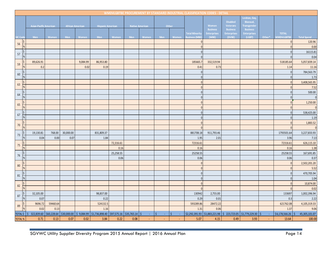|                 | WMDVLGBTBE PROCUREMENT BY STANDARD INDUSTRIAL CLASSIFICATION CODES - DETAIL |                               |          |            |                         |                                                                                                                                                                                                      |           |      |                        |                                |                        |                                                |                                                |                                                 |                                                                     |                       |                                   |                         |
|-----------------|-----------------------------------------------------------------------------|-------------------------------|----------|------------|-------------------------|------------------------------------------------------------------------------------------------------------------------------------------------------------------------------------------------------|-----------|------|------------------------|--------------------------------|------------------------|------------------------------------------------|------------------------------------------------|-------------------------------------------------|---------------------------------------------------------------------|-----------------------|-----------------------------------|-------------------------|
|                 |                                                                             | <b>Asian-Pacific American</b> |          |            | <b>African American</b> | <b>Hispanic American</b>                                                                                                                                                                             |           |      | <b>Native American</b> |                                | Other                  |                                                | Women                                          | <b>Disabled</b><br><b>Veterans</b>              | Lesbian, Gay,<br>Bisexual,<br><b>Transgender</b>                    |                       |                                   |                         |
|                 | <b>SIC Code</b>                                                             | <b>Men</b>                    | Women    | <b>Men</b> | Women                   | <b>Men</b>                                                                                                                                                                                           | Women     | Men  | Women                  | Men                            | Women                  | <b>Total Minority</b><br><b>Business (MBE)</b> | <b>Business</b><br><b>Enterprises</b><br>(WBE) | <b>Business</b><br><b>Enterprises</b><br>(DVBE) | <b>Business</b><br><b>Enterprises</b><br>(LGBT)                     | Other*                | <b>TOTAL</b><br><b>WMDVLGBTBE</b> | Total Spend             |
|                 |                                                                             |                               |          |            |                         |                                                                                                                                                                                                      |           |      |                        |                                |                        |                                                |                                                |                                                 |                                                                     |                       | $\Omega$                          | 120.96                  |
| 56              |                                                                             |                               |          |            |                         |                                                                                                                                                                                                      |           |      |                        |                                |                        | $\Omega$                                       |                                                |                                                 |                                                                     |                       |                                   | 0.00                    |
|                 |                                                                             |                               |          |            |                         |                                                                                                                                                                                                      |           |      |                        |                                |                        |                                                |                                                |                                                 |                                                                     |                       |                                   | 16115.81                |
| 57              |                                                                             |                               |          |            |                         |                                                                                                                                                                                                      |           |      |                        |                                |                        | $\Omega$                                       |                                                |                                                 |                                                                     |                       |                                   | 0.04                    |
|                 |                                                                             | 89,626.91                     |          |            | 9,084.99                | 86,953.80                                                                                                                                                                                            |           |      |                        |                                |                        | 185665.7                                       | 332,519.94                                     |                                                 |                                                                     |                       | 518185.64                         | 5,057,839.14            |
| 59              |                                                                             | 0.2                           |          |            | 0.02                    | 0.19                                                                                                                                                                                                 |           |      |                        |                                |                        | 0.41                                           | 0.73                                           |                                                 |                                                                     |                       | 1.14                              | 11.16                   |
| 60              |                                                                             |                               |          |            |                         |                                                                                                                                                                                                      |           |      |                        |                                |                        |                                                |                                                |                                                 |                                                                     |                       | $\Omega$                          | 784,563.79              |
|                 |                                                                             |                               |          |            |                         |                                                                                                                                                                                                      |           |      |                        |                                |                        |                                                |                                                |                                                 |                                                                     |                       |                                   | 1.73                    |
| 63              |                                                                             |                               |          |            |                         |                                                                                                                                                                                                      |           |      |                        |                                |                        | $\Omega$                                       |                                                |                                                 |                                                                     |                       | $\Omega$                          | 3,408,565.95            |
|                 |                                                                             |                               |          |            |                         |                                                                                                                                                                                                      |           |      |                        |                                |                        | $\theta$                                       |                                                |                                                 |                                                                     |                       | $\Omega$                          | 7.52                    |
| 64              |                                                                             |                               |          |            |                         |                                                                                                                                                                                                      |           |      |                        |                                |                        | $\mathbf{0}$                                   |                                                |                                                 |                                                                     |                       | $\overline{0}$                    | 500.00                  |
|                 |                                                                             |                               |          |            |                         |                                                                                                                                                                                                      |           |      |                        |                                |                        | $\mathbf{0}$                                   |                                                |                                                 |                                                                     |                       | $\overline{0}$                    | $\overline{\mathbf{0}}$ |
| 65              |                                                                             |                               |          |            |                         |                                                                                                                                                                                                      |           |      |                        |                                |                        |                                                |                                                |                                                 |                                                                     |                       |                                   | 1,250.00                |
|                 |                                                                             |                               |          |            |                         |                                                                                                                                                                                                      |           |      |                        |                                |                        | $\theta$                                       |                                                |                                                 |                                                                     |                       |                                   | $\overline{\mathbf{0}}$ |
| 67              |                                                                             |                               |          |            |                         |                                                                                                                                                                                                      |           |      |                        |                                |                        | $\Omega$                                       |                                                |                                                 |                                                                     |                       | $\Omega$                          | 538,425.00              |
|                 |                                                                             |                               |          |            |                         |                                                                                                                                                                                                      |           |      |                        |                                |                        | $\mathbf{0}$                                   |                                                |                                                 |                                                                     |                       | $\Omega$                          | 1.19                    |
| 70              |                                                                             |                               |          |            |                         |                                                                                                                                                                                                      |           |      |                        |                                |                        | $\Omega$                                       |                                                |                                                 |                                                                     |                       | $\mathbf{0}$                      | 1,883.52                |
|                 |                                                                             |                               |          |            |                         |                                                                                                                                                                                                      |           |      |                        |                                |                        | $\Omega$                                       |                                                |                                                 |                                                                     |                       |                                   | $\overline{\mathbf{0}}$ |
| 73              |                                                                             | 19,130.81                     | 768.00   | 30,000.00  |                         | 831,809.37                                                                                                                                                                                           |           |      |                        |                                |                        | 881708.18                                      | 911,793.46                                     |                                                 |                                                                     |                       | 1793501.64                        | 3,227,833.93            |
|                 |                                                                             | 0.04                          | 0.00     | 0.07       |                         | 1.84                                                                                                                                                                                                 |           |      |                        |                                |                        | 1.95                                           | 2.01                                           |                                                 |                                                                     |                       | 3.96                              | 7.13                    |
| 75              |                                                                             |                               |          |            |                         |                                                                                                                                                                                                      | 72,316.61 |      |                        |                                |                        | 72316.61                                       |                                                |                                                 |                                                                     |                       | 72316.61                          | 626,115.10              |
|                 |                                                                             |                               |          |            |                         |                                                                                                                                                                                                      | 0.16      |      |                        |                                |                        | 0.16                                           |                                                |                                                 |                                                                     |                       | 0.16                              | 1.38                    |
| 76              |                                                                             |                               |          |            |                         |                                                                                                                                                                                                      | 25,258.55 |      |                        |                                |                        | 25258.55                                       |                                                |                                                 |                                                                     |                       | 25258.55                          | 167,691.85              |
|                 |                                                                             |                               |          |            |                         |                                                                                                                                                                                                      | 0.06      |      |                        |                                |                        | 0.06                                           |                                                |                                                 |                                                                     |                       | 0.06                              | 0.37                    |
| 80              |                                                                             |                               |          |            |                         |                                                                                                                                                                                                      |           |      |                        |                                |                        | $\theta$                                       |                                                |                                                 |                                                                     |                       | $\overline{0}$                    | 2,502,201.20            |
|                 |                                                                             |                               |          |            |                         |                                                                                                                                                                                                      |           |      |                        |                                |                        | $\theta$                                       |                                                |                                                 |                                                                     |                       | $\Omega$                          | 5.52                    |
| 81              |                                                                             |                               |          |            |                         |                                                                                                                                                                                                      |           |      |                        |                                |                        | $\theta$                                       |                                                |                                                 |                                                                     |                       |                                   | 470,705.94              |
|                 |                                                                             |                               |          |            |                         |                                                                                                                                                                                                      |           |      |                        |                                |                        | $\mathbf 0$                                    |                                                |                                                 |                                                                     |                       | $\Omega$                          | 1.04                    |
| 82              |                                                                             |                               |          |            |                         |                                                                                                                                                                                                      |           |      |                        |                                |                        | $\theta$                                       |                                                |                                                 |                                                                     |                       | $\Omega$                          | 10,874.00               |
|                 |                                                                             |                               |          |            |                         |                                                                                                                                                                                                      |           |      |                        |                                |                        | $\Omega$                                       |                                                |                                                 |                                                                     |                       | $\Omega$                          | 0.02                    |
| 87              |                                                                             | 32,105.00                     |          |            |                         | 98,837.00                                                                                                                                                                                            |           |      |                        |                                |                        | 130942                                         | 2,755.00                                       |                                                 |                                                                     |                       | 133697                            | 1,002,396.94            |
|                 |                                                                             | 0.07                          |          |            |                         | 0.22                                                                                                                                                                                                 |           |      |                        |                                |                        | 0.29                                           | 0.01                                           |                                                 |                                                                     |                       | 0.3                               | 2.22                    |
| 89              |                                                                             | 9696.72                       | 59460.64 |            |                         | 524132.5                                                                                                                                                                                             |           |      |                        |                                |                        | 593289.86                                      | 28472.22                                       |                                                 |                                                                     |                       | 621762.08                         | 4,105,319.33            |
|                 |                                                                             | 0.02                          | 0.13     |            |                         | 1.16                                                                                                                                                                                                 |           |      |                        |                                |                        | 1.31                                           | 0.06                                           |                                                 |                                                                     |                       | 1.37                              | 9.06                    |
| <b>TOTAL</b> \$ |                                                                             |                               |          |            |                         | $\frac{1}{5}$ 322,839.60 $\frac{1}{5}$ \$60,228.64 $\frac{1}{5}$ \$30,000.00 $\frac{1}{5}$ \$9,084.99 $\frac{1}{5}$ \$1,736,898.40 $\frac{1}{5}$ \$97,575.16 $\frac{1}{5}$ \$35,765.14 $\frac{1}{5}$ |           |      | $\sim 100$             | $\mathsf{S}$<br>$\sim 10^{-1}$ | $\mathsf{S}$<br>$\sim$ |                                                | \$2,292,391.93 \$1,883,221.98                  |                                                 | $\frac{1}{2}$ 223,723.05 $\frac{1}{2}$ \$1,779,229.30 $\frac{1}{2}$ | $\sim 100$ km $^{-1}$ | \$6,178,566.26                    | 45,305,101.07           |
| <b>TOTAL %</b>  |                                                                             | 0.71                          | 0.13     | 0.07       | 0.02                    | 3.84                                                                                                                                                                                                 | 0.22      | 0.08 | $\sim$                 | $\Delta \sim$                  | $\sim$                 | 5.07                                           | 4.15                                           | 0.49                                            | 3.93                                                                | $\sim$                | 13.64                             | 100.00                  |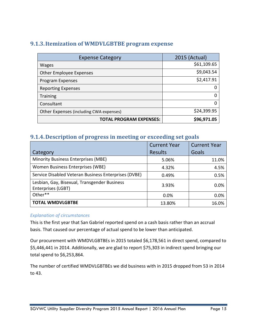#### **9.1.3.Itemization of WMDVLGBTBE program expense**

| <b>Expense Category</b>                 | 2015 (Actual) |
|-----------------------------------------|---------------|
| <b>Wages</b>                            | \$61,109.65   |
| <b>Other Employee Expenses</b>          | \$9,043.54    |
| Program Expenses                        | \$2,417.91    |
| <b>Reporting Expenses</b>               | 0             |
| <b>Training</b>                         | 0             |
| Consultant                              | 0             |
| Other Expenses (including CWA expenses) | \$24,399.95   |
| <b>TOTAL PROGRAM EXPENSES:</b>          | \$96,971.05   |

#### **9.1.4.Description of progress in meeting or exceeding set goals**

|                                                                    | <b>Current Year</b> | <b>Current Year</b> |
|--------------------------------------------------------------------|---------------------|---------------------|
| Category                                                           | <b>Results</b>      | Goals               |
| Minority Business Enterprises (MBE)                                | 5.06%               | 11.0%               |
| Women Business Enterprises (WBE)                                   | 4.32%               | 4.5%                |
| Service Disabled Veteran Business Enterprises (DVBE)               | 0.49%               | 0.5%                |
| Lesbian, Gay, Bisexual, Transgender Business<br>Enterprises (LGBT) | 3.93%               | 0.0%                |
| Other**                                                            | 0.0%                | 0.0%                |
| <b>TOTAL WMDVLGBTBE</b>                                            | 13.80%              | 16.0%               |

#### *Explanation of circumstances*

This is the first year that San Gabriel reported spend on a cash basis rather than an accrual basis. That caused our percentage of actual spend to be lower than anticipated.

Our procurement with WMDVLGBTBEs in 2015 totaled \$6,178,561 in direct spend, compared to \$5,446,441 in 2014. Additionally, we are glad to report \$75,303 in indirect spend bringing our total spend to \$6,253,864.

The number of certified WMDVLGBTBEs we did business with in 2015 dropped from 53 in 2014 to 43.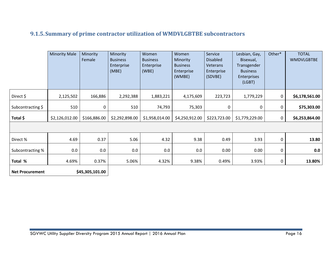#### **9.1.5.Summary of prime contractor utilization of WMDVLGBTBE subcontractors**

|                        | <b>Minority Male</b> | Minority<br>Female | Minority<br><b>Business</b><br>Enterprise<br>(MBE) | Women<br><b>Business</b><br>Enterprise<br>(WBE) | Women<br>Minority<br><b>Business</b><br>Enterprise<br>(WMBE) | Service<br><b>Disabled</b><br><b>Veterans</b><br>Enterprise<br>(SDVBE) | Lesbian, Gay,<br>Bisexual,<br>Transgender<br><b>Business</b><br><b>Enterprises</b><br>(LGBT) | Other*   | <b>TOTAL</b><br><b>WMDVLGBTBE</b> |
|------------------------|----------------------|--------------------|----------------------------------------------------|-------------------------------------------------|--------------------------------------------------------------|------------------------------------------------------------------------|----------------------------------------------------------------------------------------------|----------|-----------------------------------|
| Direct \$              | 2,125,502            | 166,886            | 2,292,388                                          | 1,883,221                                       | 4,175,609                                                    | 223,723                                                                | 1,779,229                                                                                    | 0        | \$6,178,561.00                    |
| Subcontracting \$      | 510                  | 0                  | 510                                                | 74,793                                          | 75,303                                                       | $\mathbf 0$                                                            | 0                                                                                            | $\Omega$ | \$75,303.00                       |
| Total \$               | \$2,126,012.00       | \$166,886.00       | \$2,292,898.00                                     | \$1,958,014.00                                  | \$4,250,912.00                                               | \$223,723.00                                                           | \$1,779,229.00                                                                               | 0        | \$6,253,864.00                    |
|                        |                      |                    |                                                    |                                                 |                                                              |                                                                        |                                                                                              |          |                                   |
| Direct %               | 4.69                 | 0.37               | 5.06                                               | 4.32                                            | 9.38                                                         | 0.49                                                                   | 3.93                                                                                         | 0        | 13.80                             |
| Subcontracting %       | 0.0                  | 0.0                | 0.0                                                | 0.0                                             | 0.0                                                          | 0.00                                                                   | 0.00                                                                                         | 0        | 0.0                               |
| Total %                | 4.69%                | 0.37%              | 5.06%                                              | 4.32%                                           | 9.38%                                                        | 0.49%                                                                  | 3.93%                                                                                        | 0        | 13.80%                            |
| <b>Net Procurement</b> |                      | \$45,305,101.00    |                                                    |                                                 |                                                              |                                                                        |                                                                                              |          |                                   |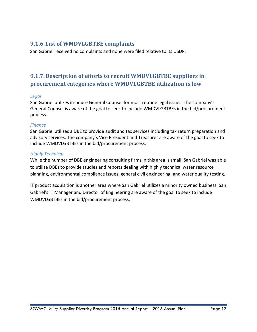#### **9.1.6.List of WMDVLGBTBE complaints**

San Gabriel received no complaints and none were filed relative to its USDP.

#### **9.1.7.Description of efforts to recruit WMDVLGBTBE suppliers in procurement categories where WMDVLGBTBE utilization is low**

#### *Legal*

San Gabriel utilizes in‐house General Counsel for most routine legal issues. The company's General Counsel is aware of the goal to seek to include WMDVLGBTBEs in the bid/procurement process.

#### *Finance*

San Gabriel utilizes a DBE to provide audit and tax services including tax return preparation and advisory services. The company's Vice President and Treasurer are aware of the goal to seek to include WMDVLGBTBEs in the bid/procurement process.

#### *Highly Technical*

While the number of DBE engineering consulting firms in this area is small, San Gabriel was able to utilize DBEs to provide studies and reports dealing with highly technical water resource planning, environmental compliance issues, general civil engineering, and water quality testing.

IT product acquisition is another area where San Gabriel utilizes a minority owned business. San Gabriel's IT Manager and Director of Engineering are aware of the goal to seek to include WMDVLGBTBEs in the bid/procurement process.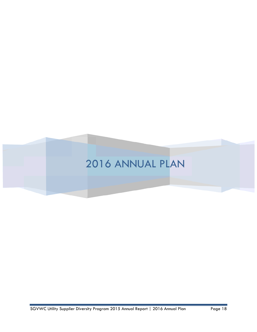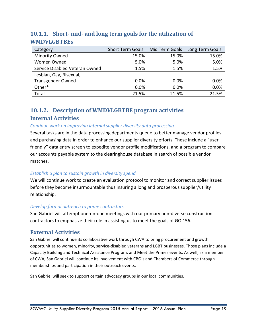#### **10.1.1. Short‐ mid‐ and long term goals for the utilization of WMDVLGBTBEs**

| Category                       | <b>Short Term Goals</b> | Mid Term Goals | Long Term Goals |
|--------------------------------|-------------------------|----------------|-----------------|
| Minority Owned                 | 15.0%                   | 15.0%          | 15.0%           |
| Women Owned                    | 5.0%                    | 5.0%           | 5.0%            |
| Service Disabled Veteran Owned | 1.5%                    | 1.5%           | 1.5%            |
| Lesbian, Gay, Bisexual,        |                         |                |                 |
| <b>Transgender Owned</b>       | 0.0%                    | 0.0%           | 0.0%            |
| Other*                         | 0.0%                    | 0.0%           | 0.0%            |
| Total                          | 21.5%                   | 21.5%          | 21.5%           |

#### **10.1.2. Description of WMDVLGBTBE program activities**

#### **Internal Activities**

#### *Continue work on improving internal supplier diversity data processing*

Several tasks are in the data processing departments queue to better manage vendor profiles and purchasing data in order to enhance our supplier diversity efforts. These include a "user friendly" data entry screen to expedite vendor profile modifications, and a program to compare our accounts payable system to the clearinghouse database in search of possible vendor matches.

#### *Establish a plan to sustain growth in diversity spend*

We will continue work to create an evaluation protocol to monitor and correct supplier issues before they become insurmountable thus insuring a long and prosperous supplier/utility relationship.

#### *Develop formal outreach to prime contractors*

San Gabriel will attempt one‐on‐one meetings with our primary non‐diverse construction contractors to emphasize their role in assisting us to meet the goals of GO 156.

#### **External Activities**

San Gabriel will continue its collaborative work through CWA to bring procurement and growth opportunities to women, minority, service‐disabled veterans and LGBT businesses. Those plans include a Capacity Building and Technical Assistance Program, and Meet the Primes events. As well, as a member of CWA, San Gabriel will continue its involvement with CBO's and Chambers of Commerce through memberships and participation in their outreach events.

San Gabriel will seek to support certain advocacy groups in our local communities.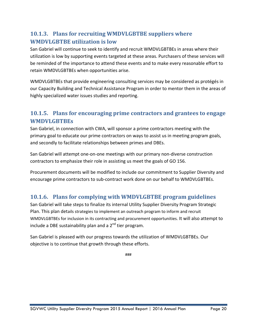#### **10.1.3. Plans for recruiting WMDVLGBTBE suppliers where WMDVLGBTBE utilization is low**

San Gabriel will continue to seek to identify and recruit WMDVLGBTBEs in areas where their utilization is low by supporting events targeted at these areas. Purchasers of these services will be reminded of the importance to attend these events and to make every reasonable effort to retain WMDVLGBTBEs when opportunities arise.

WMDVLGBTBEs that provide engineering consulting services may be considered as protégés in our Capacity Building and Technical Assistance Program in order to mentor them in the areas of highly specialized water issues studies and reporting.

#### **10.1.5. Plans for encouraging prime contractors and grantees to engage WMDVLGBTBEs**

San Gabriel, in connection with CWA, will sponsor a prime contractors meeting with the primary goal to educate our prime contractors on ways to assist us in meeting program goals, and secondly to facilitate relationships between primes and DBEs.

San Gabriel will attempt one‐on‐one meetings with our primary non‐diverse construction contractors to emphasize their role in assisting us meet the goals of GO 156.

Procurement documents will be modified to include our commitment to Supplier Diversity and encourage prime contractors to sub‐contract work done on our behalf to WMDVLGBTBEs.

#### **10.1.6. Plans for complying with WMDVLGBTBE program guidelines**

San Gabriel will take steps to finalize its internal Utility Supplier Diversity Program Strategic Plan. This plan details strategies to implement an outreach program to inform and recruit WMDVLGBTBEs for inclusion in its contracting and procurement opportunities. It will also attempt to include a DBE sustainability plan and a  $2^{nd}$  tier program.

San Gabriel is pleased with our progress towards the utilization of WMDVLGBTBEs. Our objective is to continue that growth through these efforts.

###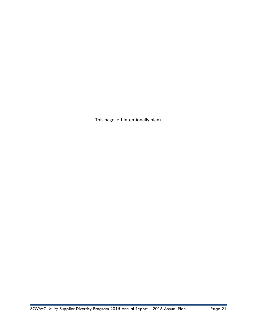This page left intentionally blank